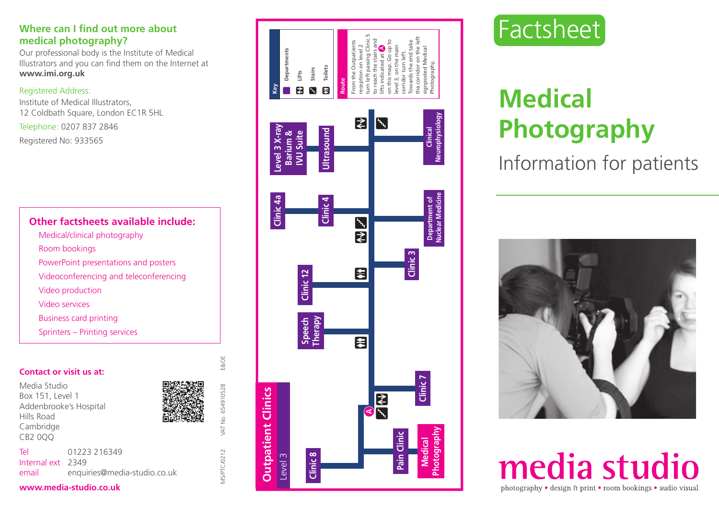# **medical photography?**

Our professional body is the Institute of Medical Illustrators and you can find them on the Internet at **www.imi.org.uk**

#### Registered Address:

Institute of Medical Illustrators, 12 Coldbath Square, London EC1R 5HL Telephone: 0207 837 2846 Registered No: 933565

# **Other factsheets available include:**

- Medical/clinical photography Room bookings PowerPoint presentations and posters Videoconferencing and teleconferencing Video production Video services
- Business card printing
- Sprinters Printing services

#### **Contact or visit us at:**

Media Studio Box 151, Level 1 Addenbrooke's Hospital Hills Road Cambridge CB2 0QQ Tel 01223 216349 Internal ext 2349 email enquiries@media-studio.co.uk



MS/PTC/0212 VAT No. 654910528 E&OE

I TM

**VIS/PTC/0212** 

No. 654910528

E&OE





# **Medical Photography**

Information for patients



media studio photography • design & print • room bookings • audio visual

#### **www.media-studio.co.uk**